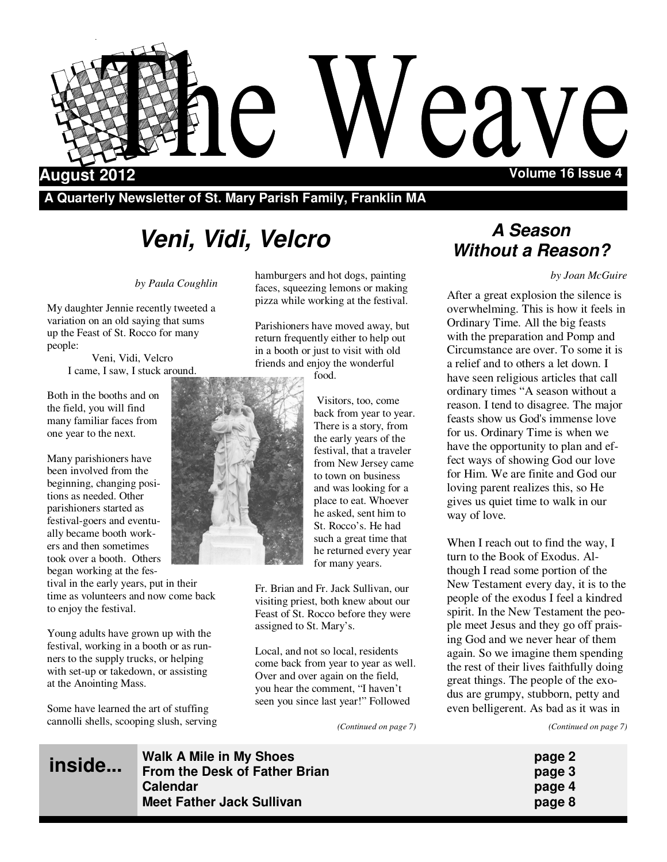

**A Quarterly Newsletter of St. Mary Parish Family, Franklin MA** 

# **Veni, Vidi, Velcro**

#### *by Paula Coughlin*

My daughter Jennie recently tweeted a variation on an old saying that sums up the Feast of St. Rocco for many people:

Veni, Vidi, Velcro I came, I saw, I stuck around.

Both in the booths and on the field, you will find many familiar faces from one year to the next.

Many parishioners have been involved from the beginning, changing positions as needed. Other parishioners started as festival-goers and eventually became booth workers and then sometimes took over a booth. Others began working at the fes-

tival in the early years, put in their time as volunteers and now come back to enjoy the festival.

Young adults have grown up with the festival, working in a booth or as runners to the supply trucks, or helping with set-up or takedown, or assisting at the Anointing Mass.

Some have learned the art of stuffing cannolli shells, scooping slush, serving

**inside...**

hamburgers and hot dogs, painting faces, squeezing lemons or making pizza while working at the festival.

Parishioners have moved away, but return frequently either to help out in a booth or just to visit with old friends and enjoy the wonderful food.



back from year to year. There is a story, from the early years of the festival, that a traveler from New Jersey came to town on business and was looking for a place to eat. Whoever he asked, sent him to St. Rocco's. He had such a great time that he returned every year for many years.

Visitors, too, come

Fr. Brian and Fr. Jack Sullivan, our visiting priest, both knew about our Feast of St. Rocco before they were assigned to St. Mary's.

Local, and not so local, residents come back from year to year as well. Over and over again on the field, you hear the comment, "I haven't seen you since last year!" Followed

*(Continued on page 7)* 

## **A Season Without a Reason?**

*by Joan McGuire*

After a great explosion the silence is overwhelming. This is how it feels in Ordinary Time. All the big feasts with the preparation and Pomp and Circumstance are over. To some it is a relief and to others a let down. I have seen religious articles that call ordinary times "A season without a reason. I tend to disagree. The major feasts show us God's immense love for us. Ordinary Time is when we have the opportunity to plan and effect ways of showing God our love for Him. We are finite and God our loving parent realizes this, so He gives us quiet time to walk in our way of love.

When I reach out to find the way. I turn to the Book of Exodus. Although I read some portion of the New Testament every day, it is to the people of the exodus I feel a kindred spirit. In the New Testament the people meet Jesus and they go off praising God and we never hear of them again. So we imagine them spending the rest of their lives faithfully doing great things. The people of the exodus are grumpy, stubborn, petty and even belligerent. As bad as it was in

*(Continued on page 7)* 

| page 2 |  |
|--------|--|
| page 3 |  |
| page 4 |  |
| page 8 |  |

**Walk A Mile in My Shoes From the Desk of Father Brian Calendar page 4 Meet Father Jack Sullivan**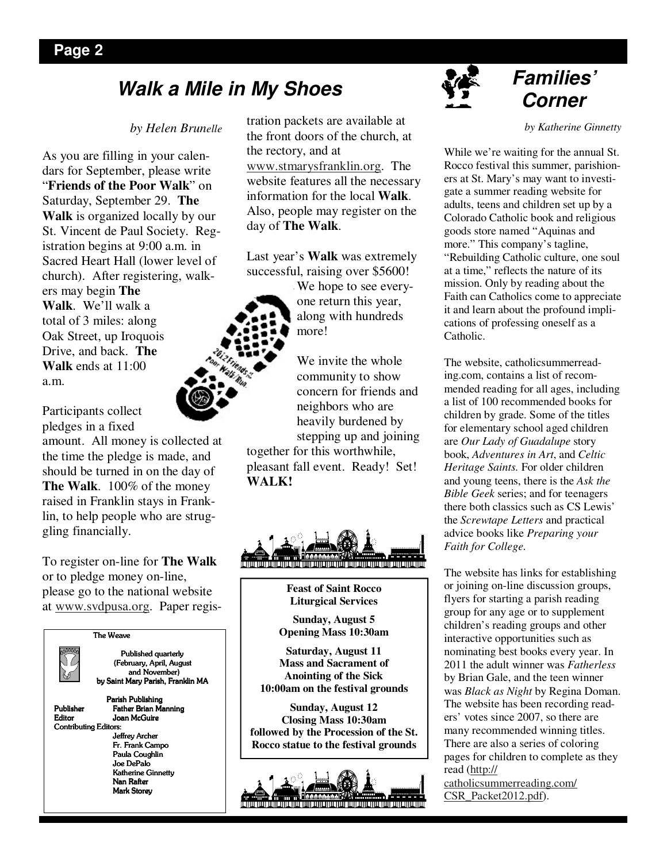## **Walk a Mile in My Shoes Corner**

#### *by Helen Brunelle*

As you are filling in your calendars for September, please write "**Friends of the Poor Walk**" on Saturday, September 29. **The Walk** is organized locally by our St. Vincent de Paul Society. Registration begins at 9:00 a.m. in Sacred Heart Hall (lower level of church). After registering, walkers may begin **The Walk**. We'll walk a total of 3 miles: along Oak Street, up Iroquois Drive, and back. **The Walk** ends at 11:00 a.m.

Participants collect pledges in a fixed

amount. All money is collected at the time the pledge is made, and should be turned in on the day of **The Walk**. 100% of the money raised in Franklin stays in Franklin, to help people who are struggling financially.

To register on-line for **The Walk** or to pledge money on-line, please go to the national website at www.svdpusa.org. Paper regis-

#### $\overline{\text{The}$  Weave



Published quarterly (February, April, August (February, April, August and November) by Saint Mary Parish, Franklin MA

Parish Publishing Publisher Father Brian Manning<br>Editor Joan McGuire Joan McGuire Contributing Editors: Jeffrey Archer Fr. Frank Campo Paula Coughlin Joe DePalo Katherine Ginnetty Nan Rafter Mark Storey

tration packets are available at the front doors of the church, at the rectory, and at www.stmarysfranklin.org. The website features all the necessary information for the local **Walk**. Also, people may register on the day of **The Walk**.

Last year's **Walk** was extremely successful, raising over \$5600!



We hope to see everyone return this year, along with hundreds more!

We invite the whole community to show concern for friends and neighbors who are heavily burdened by

stepping up and joining together for this worthwhile, pleasant fall event. Ready! Set! **WALK!**



**Feast of Saint Rocco Liturgical Services** 

**Sunday, August 5 Opening Mass 10:30am** 

**Saturday, August 11 Mass and Sacrament of Anointing of the Sick 10:00am on the festival grounds** 

**Sunday, August 12 Closing Mass 10:30am followed by the Procession of the St. Rocco statue to the festival grounds** 





# **Families'**

*by Katherine Ginnetty* 

While we're waiting for the annual St. Rocco festival this summer, parishioners at St. Mary's may want to investigate a summer reading website for adults, teens and children set up by a Colorado Catholic book and religious goods store named "Aquinas and more." This company's tagline, "Rebuilding Catholic culture, one soul at a time," reflects the nature of its mission. Only by reading about the Faith can Catholics come to appreciate it and learn about the profound implications of professing oneself as a Catholic.

The website, catholicsummerreading.com, contains a list of recommended reading for all ages, including a list of 100 recommended books for children by grade. Some of the titles for elementary school aged children are *Our Lady of Guadalupe* story book, *Adventures in Art*, and *Celtic Heritage Saints.* For older children and young teens, there is the *Ask the Bible Geek* series; and for teenagers there both classics such as CS Lewis' the *Screwtape Letters* and practical advice books like *Preparing your Faith for College.*

The website has links for establishing or joining on-line discussion groups, flyers for starting a parish reading group for any age or to supplement children's reading groups and other interactive opportunities such as nominating best books every year. In 2011 the adult winner was *Fatherless*  by Brian Gale, and the teen winner was *Black as Night* by Regina Doman. The website has been recording readers' votes since 2007, so there are many recommended winning titles. There are also a series of coloring pages for children to complete as they read (http://

catholicsummerreading.com/ CSR\_Packet2012.pdf).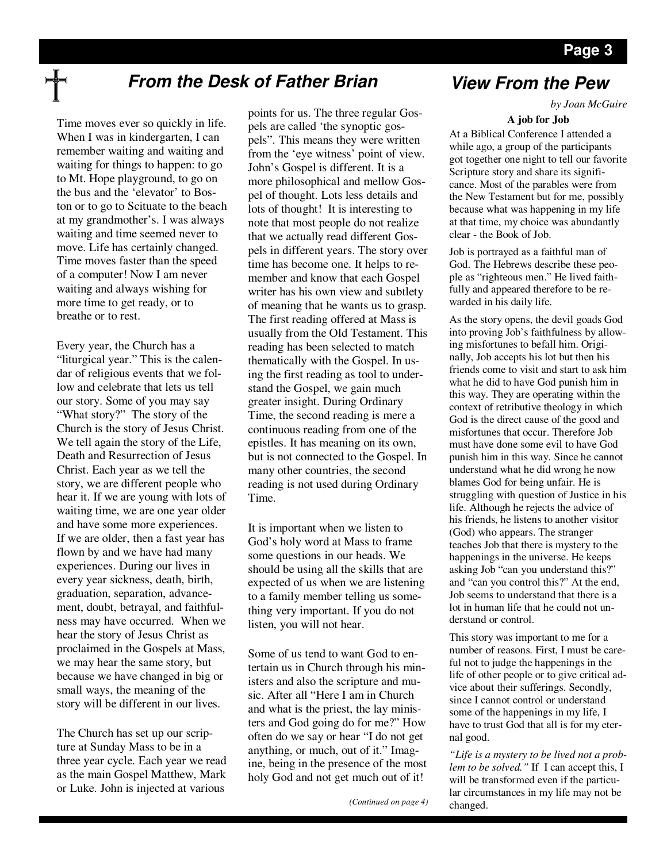## **From the Desk of Father Brian**

Time moves ever so quickly in life. When I was in kindergarten, I can remember waiting and waiting and waiting for things to happen: to go to Mt. Hope playground, to go on the bus and the 'elevator' to Boston or to go to Scituate to the beach at my grandmother's. I was always waiting and time seemed never to move. Life has certainly changed. Time moves faster than the speed of a computer! Now I am never waiting and always wishing for more time to get ready, or to breathe or to rest.

Every year, the Church has a "liturgical year." This is the calendar of religious events that we follow and celebrate that lets us tell our story. Some of you may say "What story?" The story of the Church is the story of Jesus Christ. We tell again the story of the Life, Death and Resurrection of Jesus Christ. Each year as we tell the story, we are different people who hear it. If we are young with lots of waiting time, we are one year older and have some more experiences. If we are older, then a fast year has flown by and we have had many experiences. During our lives in every year sickness, death, birth, graduation, separation, advancement, doubt, betrayal, and faithfulness may have occurred. When we hear the story of Jesus Christ as proclaimed in the Gospels at Mass, we may hear the same story, but because we have changed in big or small ways, the meaning of the story will be different in our lives.

The Church has set up our scripture at Sunday Mass to be in a three year cycle. Each year we read as the main Gospel Matthew, Mark or Luke. John is injected at various

points for us. The three regular Gospels are called 'the synoptic gospels". This means they were written from the 'eye witness' point of view. John's Gospel is different. It is a more philosophical and mellow Gospel of thought. Lots less details and lots of thought! It is interesting to note that most people do not realize that we actually read different Gospels in different years. The story over time has become one. It helps to remember and know that each Gospel writer has his own view and subtlety of meaning that he wants us to grasp. The first reading offered at Mass is usually from the Old Testament. This reading has been selected to match thematically with the Gospel. In using the first reading as tool to understand the Gospel, we gain much greater insight. During Ordinary Time, the second reading is mere a continuous reading from one of the epistles. It has meaning on its own, but is not connected to the Gospel. In many other countries, the second reading is not used during Ordinary Time.

It is important when we listen to God's holy word at Mass to frame some questions in our heads. We should be using all the skills that are expected of us when we are listening to a family member telling us something very important. If you do not listen, you will not hear.

Some of us tend to want God to entertain us in Church through his ministers and also the scripture and music. After all "Here I am in Church and what is the priest, the lay ministers and God going do for me?" How often do we say or hear "I do not get anything, or much, out of it." Imagine, being in the presence of the most holy God and not get much out of it!

## **View From the Pew**

*by Joan McGuire* 

#### **A job for Job**

At a Biblical Conference I attended a while ago, a group of the participants got together one night to tell our favorite Scripture story and share its significance. Most of the parables were from the New Testament but for me, possibly because what was happening in my life at that time, my choice was abundantly clear - the Book of Job.

Job is portrayed as a faithful man of God. The Hebrews describe these people as "righteous men." He lived faithfully and appeared therefore to be rewarded in his daily life.

As the story opens, the devil goads God into proving Job's faithfulness by allowing misfortunes to befall him. Originally, Job accepts his lot but then his friends come to visit and start to ask him what he did to have God punish him in this way. They are operating within the context of retributive theology in which God is the direct cause of the good and misfortunes that occur. Therefore Job must have done some evil to have God punish him in this way. Since he cannot understand what he did wrong he now blames God for being unfair. He is struggling with question of Justice in his life. Although he rejects the advice of his friends, he listens to another visitor (God) who appears. The stranger teaches Job that there is mystery to the happenings in the universe. He keeps asking Job "can you understand this?" and "can you control this?" At the end, Job seems to understand that there is a lot in human life that he could not understand or control.

This story was important to me for a number of reasons. First, I must be careful not to judge the happenings in the life of other people or to give critical advice about their sufferings. Secondly, since I cannot control or understand some of the happenings in my life, I have to trust God that all is for my eternal good.

*"Life is a mystery to be lived not a problem to be solved."* If I can accept this, I will be transformed even if the particular circumstances in my life may not be changed.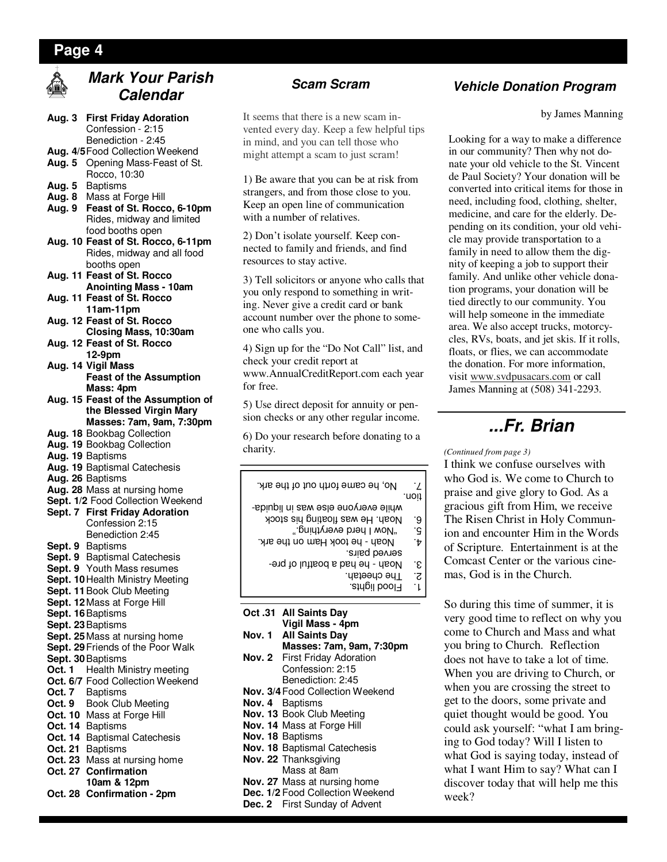#### **Page 4**



## **Mark Your Parish Calendar**

- **Aug. 3 First Friday Adoration**  Confession - 2:15
- Benediction 2:45
- **Aug. 4/5** Food Collection Weekend **Aug. 5** Opening Mass-Feast of St.
- Rocco, 10:30 **Aug. 5** Baptisms
- **Aug. 8** Mass at Forge Hill
- **Aug. 9 Feast of St. Rocco, 6-10pm**  Rides, midway and limited food booths open
- **Aug. 10 Feast of St. Rocco, 6-11pm**  Rides, midway and all food booths open
- **Aug. 11 Feast of St. Rocco Anointing Mass - 10am Aug. 11 Feast of St. Rocco**
- **11am-11pm Aug. 12 Feast of St. Rocco**
- **Closing Mass, 10:30am Aug. 12 Feast of St. Rocco**
- **12-9pm Aug. 14 Vigil Mass**
- **Feast of the Assumption Mass: 4pm Aug. 15 Feast of the Assumption of**
- **the Blessed Virgin Mary Masses: 7am, 9am, 7:30pm**
- **Aug. 18** Bookbag Collection
- **Aug. 19** Bookbag Collection
- **Aug. 19** Baptisms
- **Aug. 19** Baptismal Catechesis
- **Aug. 26** Baptisms
- **Aug. 28** Mass at nursing home
- **Sept. 1/2** Food Collection Weekend **Sept. 7 First Friday Adoration**

#### Confession 2:15 Benediction 2:45

- **Sept. 9** Baptisms
- **Sept. 9** Baptismal Catechesis
- **Sept. 9** Youth Mass resumes
- **Sept. 10 Health Ministry Meeting**
- **Sept. 11** Book Club Meeting
- **Sept. 12** Mass at Forge Hill
- **Sept. 16** Baptisms
- **Sept. 23** Baptisms
- **Sept. 25** Mass at nursing home Sept. 29 Friends of the Poor Walk
- **Sept. 30** Baptisms
- **Oct. 1** Health Ministry meeting
- **Oct. 6/7** Food Collection Weekend
- **Oct. 7** Baptisms
- **Oct. 9** Book Club Meeting
- **Oct. 10** Mass at Forge Hill
- **Oct. 14** Baptisms
- **Oct. 14** Baptismal Catechesis
- **Oct. 21** Baptisms
- **Oct. 23** Mass at nursing home
- **Oct. 27 Confirmation**
- **10am & 12pm**
- **Oct. 28 Confirmation 2pm**

It seems that there is a new scam invented every day. Keep a few helpful tips in mind, and you can tell those who might attempt a scam to just scram!

1) Be aware that you can be at risk from strangers, and from those close to you. Keep an open line of communication with a number of relatives.

2) Don't isolate yourself. Keep connected to family and friends, and find resources to stay active.

3) Tell solicitors or anyone who calls that you only respond to something in writing. Never give a credit card or bank account number over the phone to someone who calls you.

4) Sign up for the "Do Not Call" list, and check your credit report at www.AnnualCreditReport.com each year for free.

5) Use direct deposit for annuity or pension checks or any other regular income.

6) Do your research before donating to a charity.

|        | No, he came forth out of the ark.    | .7   |
|--------|--------------------------------------|------|
|        |                                      | uon: |
|        | while everyone else was in liquida-  |      |
|        | Noah. He was floating his stock      | ۰9   |
|        | ".pnintyeve byerything"              | ٠ç   |
|        | Noah - he took Ham on the ark.       | ٠t   |
|        | sured parrs.                         |      |
|        | Noah - he had a boatful of pre-      | ۰ε   |
|        | The cheetah.                         | ج.   |
|        | Flood lights.                        | ٠١.  |
|        |                                      |      |
|        |                                      |      |
|        | Oct .31 All Saints Day               |      |
|        | Vigil Mass - 4pm                     |      |
| Nov. 1 | <b>All Saints Dav</b>                |      |
|        | Masses: 7am, 9am, 7:30pm             |      |
|        | Nov. 2 First Friday Adoration        |      |
|        | Confession: 2:15                     |      |
|        | Benediction: 2:45                    |      |
|        | Nov. 3/4 Food Collection Weekend     |      |
|        | Nov. 4 Baptisms                      |      |
|        | Nov. 13 Book Club Meeting            |      |
|        | Nov. 14 Mass at Forge Hill           |      |
|        | Nov. 18 Baptisms                     |      |
|        |                                      |      |
|        | Nov. 18 Baptismal Catechesis         |      |
|        | Nov. 22 Thanksgiving                 |      |
|        | Mass at 8am                          |      |
|        | <b>Nov. 27</b> Mass at nursing home  |      |
|        | Dec. 1/2 Food Collection Weekend     |      |
|        | <b>Dec. 2</b> First Sunday of Advent |      |

## **Scam Scram Vehicle Donation Program**

by James Manning

Looking for a way to make a difference in our community? Then why not donate your old vehicle to the St. Vincent de Paul Society? Your donation will be converted into critical items for those in need, including food, clothing, shelter, medicine, and care for the elderly. Depending on its condition, your old vehicle may provide transportation to a family in need to allow them the dignity of keeping a job to support their family. And unlike other vehicle donation programs, your donation will be tied directly to our community. You will help someone in the immediate area. We also accept trucks, motorcycles, RVs, boats, and jet skis. If it rolls, floats, or flies, we can accommodate the donation. For more information, visit www.svdpusacars.com or call James Manning at (508) 341-2293.

## **...Fr. Brian**

#### *(Continued from page 3)*

I think we confuse ourselves with who God is. We come to Church to praise and give glory to God. As a gracious gift from Him, we receive The Risen Christ in Holy Communion and encounter Him in the Words of Scripture. Entertainment is at the Comcast Center or the various cinemas, God is in the Church.

So during this time of summer, it is very good time to reflect on why you come to Church and Mass and what you bring to Church. Reflection does not have to take a lot of time. When you are driving to Church, or when you are crossing the street to get to the doors, some private and quiet thought would be good. You could ask yourself: "what I am bringing to God today? Will I listen to what God is saying today, instead of what I want Him to say? What can I discover today that will help me this week?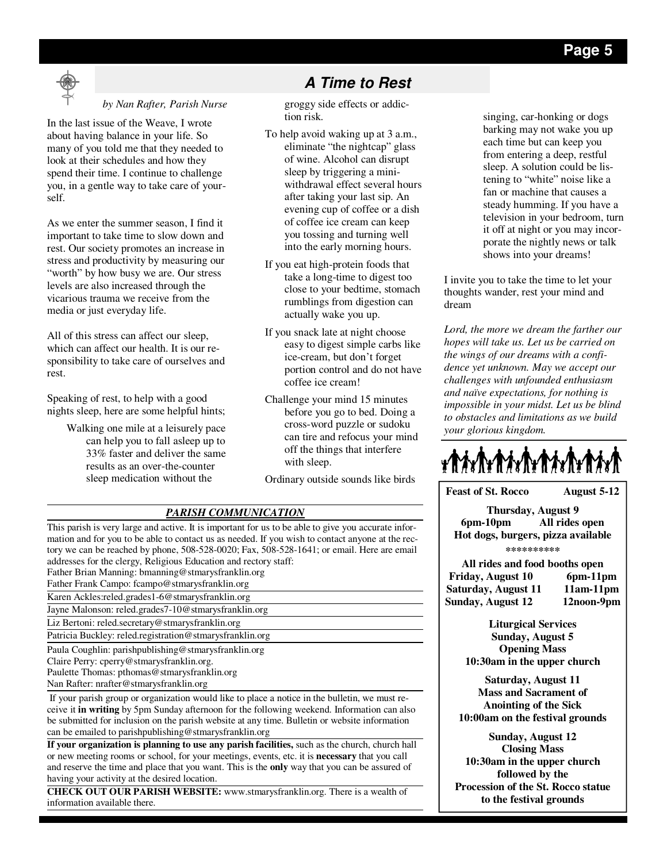

#### *by Nan Rafter, Parish Nurse*

In the last issue of the Weave, I wrote about having balance in your life. So many of you told me that they needed to look at their schedules and how they spend their time. I continue to challenge you, in a gentle way to take care of yourself.

As we enter the summer season, I find it important to take time to slow down and rest. Our society promotes an increase in stress and productivity by measuring our "worth" by how busy we are. Our stress levels are also increased through the vicarious trauma we receive from the media or just everyday life.

All of this stress can affect our sleep, which can affect our health. It is our responsibility to take care of ourselves and rest.

Speaking of rest, to help with a good nights sleep, here are some helpful hints;

> Walking one mile at a leisurely pace can help you to fall asleep up to 33% faster and deliver the same results as an over-the-counter sleep medication without the

## **A Time to Rest**

groggy side effects or addiction risk.

- To help avoid waking up at 3 a.m., eliminate "the nightcap" glass of wine. Alcohol can disrupt sleep by triggering a miniwithdrawal effect several hours after taking your last sip. An evening cup of coffee or a dish of coffee ice cream can keep you tossing and turning well into the early morning hours.
- If you eat high-protein foods that take a long-time to digest too close to your bedtime, stomach rumblings from digestion can actually wake you up.
- If you snack late at night choose easy to digest simple carbs like ice-cream, but don't forget portion control and do not have coffee ice cream!
- Challenge your mind 15 minutes before you go to bed. Doing a cross-word puzzle or sudoku can tire and refocus your mind off the things that interfere with sleep.

Ordinary outside sounds like birds

#### *PARISH COMMUNICATION*

This parish is very large and active. It is important for us to be able to give you accurate information and for you to be able to contact us as needed. If you wish to contact anyone at the rectory we can be reached by phone, 508-528-0020; Fax, 508-528-1641; or email. Here are email addresses for the clergy, Religious Education and rectory staff: Father Brian Manning: bmanning@stmarysfranklin.org Father Frank Campo: fcampo@stmarysfranklin.org Karen Ackles:reled.grades1-6@stmarysfranklin.org Jayne Malonson: reled.grades7-10@stmarysfranklin.org Liz Bertoni: reled.secretary@stmarysfranklin.org Patricia Buckley: reled.registration@stmarysfranklin.org Paula Coughlin: parishpublishing@stmarysfranklin.org Claire Perry: cperry@stmarysfranklin.org. Paulette Thomas: pthomas@stmarysfranklin.org Nan Rafter: nrafter@stmarysfranklin.org If your parish group or organization would like to place a notice in the bulletin, we must re-

ceive it **in writing** by 5pm Sunday afternoon for the following weekend. Information can also be submitted for inclusion on the parish website at any time. Bulletin or website information can be emailed to parishpublishing@stmarysfranklin.org

**If your organization is planning to use any parish facilities,** such as the church, church hall or new meeting rooms or school, for your meetings, events, etc. it is **necessary** that you call and reserve the time and place that you want. This is the **only** way that you can be assured of having your activity at the desired location.

**CHECK OUT OUR PARISH WEBSITE:** www.stmarysfranklin.org. There is a wealth of information available there.

singing, car-honking or dogs barking may not wake you up each time but can keep you from entering a deep, restful sleep. A solution could be listening to "white" noise like a fan or machine that causes a steady humming. If you have a television in your bedroom, turn it off at night or you may incorporate the nightly news or talk shows into your dreams!

I invite you to take the time to let your thoughts wander, rest your mind and dream

*Lord, the more we dream the farther our hopes will take us. Let us be carried on the wings of our dreams with a confidence yet unknown. May we accept our challenges with unfounded enthusiasm and naïve expectations, for nothing is impossible in your midst. Let us be blind to obstacles and limitations as we build your glorious kingdom.* 



**Feast of St. Rocco August 5-12 Thursday, August 9 6pm-10pm All rides open Hot dogs, burgers, pizza available** 

**\*\*\*\*\*\*\*\*\*\*** 

**All rides and food booths open Friday, August 10 6pm-11pm**  Saturday, August 11 11am-11pm **Sunday, August 12 12noon-9pm** 

> **Liturgical Services Sunday, August 5 Opening Mass 10:30am in the upper church**

**Saturday, August 11 Mass and Sacrament of Anointing of the Sick 10:00am on the festival grounds** 

**Sunday, August 12 Closing Mass 10:30am in the upper church followed by the Procession of the St. Rocco statue to the festival grounds**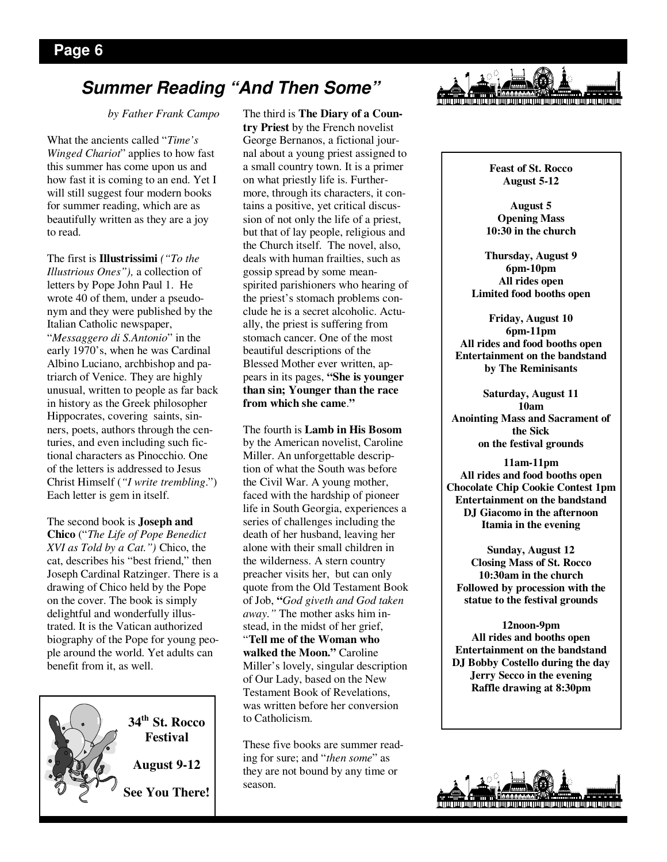## **Summer Reading "And Then Some"**

*by Father Frank Campo* 

What the ancients called "*Time's Winged Chariot*" applies to how fast this summer has come upon us and how fast it is coming to an end. Yet I will still suggest four modern books for summer reading, which are as beautifully written as they are a joy to read.

The first is **Illustrissimi** *("To the Illustrious Ones"),* a collection of letters by Pope John Paul 1. He wrote 40 of them, under a pseudonym and they were published by the Italian Catholic newspaper, "*Messaggero di S.Antonio*" in the early 1970's, when he was Cardinal Albino Luciano, archbishop and patriarch of Venice. They are highly unusual, written to people as far back in history as the Greek philosopher Hippocrates, covering saints, sinners, poets, authors through the centuries, and even including such fictional characters as Pinocchio. One of the letters is addressed to Jesus Christ Himself (*"I write trembling*.") Each letter is gem in itself.

The second book is **Joseph and Chico** ("*The Life of Pope Benedict XVI as Told by a Cat.")* Chico, the cat, describes his "best friend," then Joseph Cardinal Ratzinger. There is a drawing of Chico held by the Pope on the cover. The book is simply delightful and wonderfully illustrated. It is the Vatican authorized biography of the Pope for young people around the world. Yet adults can benefit from it, as well.



The third is **The Diary of a Country Priest** by the French novelist George Bernanos, a fictional journal about a young priest assigned to a small country town. It is a primer on what priestly life is. Furthermore, through its characters, it contains a positive, yet critical discussion of not only the life of a priest, but that of lay people, religious and the Church itself. The novel, also, deals with human frailties, such as gossip spread by some meanspirited parishioners who hearing of the priest's stomach problems conclude he is a secret alcoholic. Actually, the priest is suffering from stomach cancer. One of the most beautiful descriptions of the Blessed Mother ever written, appears in its pages, **"She is younger than sin; Younger than the race from which she came**.**"**

The fourth is **Lamb in His Bosom** by the American novelist, Caroline Miller. An unforgettable description of what the South was before the Civil War. A young mother, faced with the hardship of pioneer life in South Georgia, experiences a series of challenges including the death of her husband, leaving her alone with their small children in the wilderness. A stern country preacher visits her, but can only quote from the Old Testament Book of Job, **"***God giveth and God taken away."* The mother asks him instead, in the midst of her grief, "**Tell me of the Woman who walked the Moon."** Caroline Miller's lovely, singular description of Our Lady, based on the New Testament Book of Revelations, was written before her conversion to Catholicism.

These five books are summer reading for sure; and "*then some*" as they are not bound by any time or season.



**Feast of St. Rocco August 5-12** 

**August 5 Opening Mass 10:30 in the church** 

**Thursday, August 9 6pm-10pm All rides open Limited food booths open** 

**Friday, August 10 6pm-11pm All rides and food booths open Entertainment on the bandstand by The Reminisants** 

**Saturday, August 11 10am Anointing Mass and Sacrament of the Sick on the festival grounds** 

**11am-11pm All rides and food booths open Chocolate Chip Cookie Contest 1pm Entertainment on the bandstand DJ Giacomo in the afternoon Itamia in the evening** 

**Sunday, August 12 Closing Mass of St. Rocco 10:30am in the church Followed by procession with the statue to the festival grounds** 

**12noon-9pm All rides and booths open Entertainment on the bandstand DJ Bobby Costello during the day Jerry Secco in the evening Raffle drawing at 8:30pm**

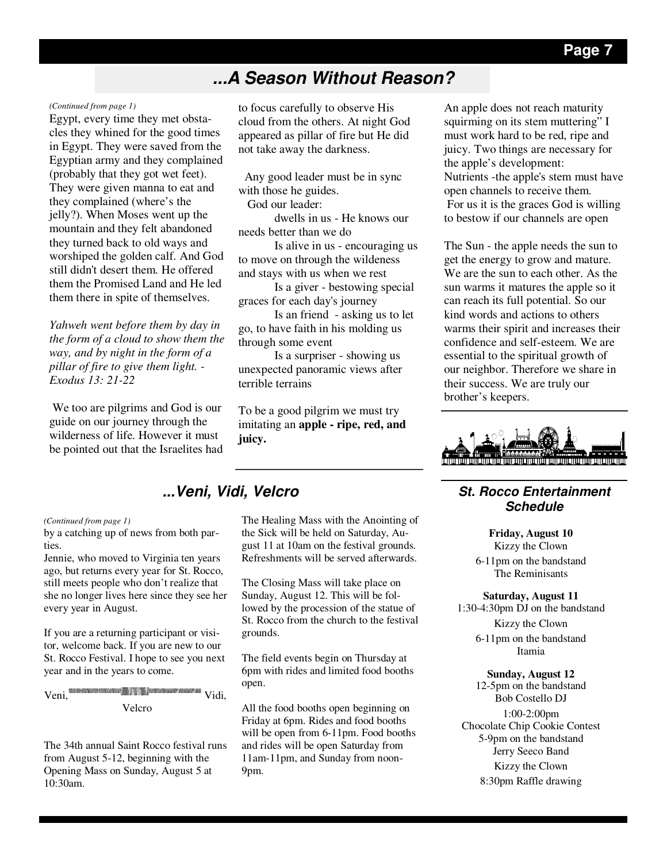## **...A Season Without Reason?**

#### *(Continued from page 1)*

Egypt, every time they met obstacles they whined for the good times in Egypt. They were saved from the Egyptian army and they complained (probably that they got wet feet). They were given manna to eat and they complained (where's the jelly?). When Moses went up the mountain and they felt abandoned they turned back to old ways and worshiped the golden calf. And God still didn't desert them. He offered them the Promised Land and He led them there in spite of themselves.

*Yahweh went before them by day in the form of a cloud to show them the way, and by night in the form of a pillar of fire to give them light. - Exodus 13: 21-22* 

 We too are pilgrims and God is our guide on our journey through the wilderness of life. However it must be pointed out that the Israelites had to focus carefully to observe His cloud from the others. At night God appeared as pillar of fire but He did not take away the darkness.

 Any good leader must be in sync with those he guides.

God our leader:

 dwells in us - He knows our needs better than we do

 Is alive in us - encouraging us to move on through the wildeness and stays with us when we rest

 Is a giver - bestowing special graces for each day's journey

 Is an friend - asking us to let go, to have faith in his molding us through some event

 Is a surpriser - showing us unexpected panoramic views after terrible terrains

To be a good pilgrim we must try imitating an **apple - ripe, red, and juicy.** 

### **...Veni, Vidi, Velcro**

#### *(Continued from page 1)*

by a catching up of news from both parties.

Jennie, who moved to Virginia ten years ago, but returns every year for St. Rocco, still meets people who don't realize that she no longer lives here since they see her every year in August.

If you are a returning participant or visitor, welcome back. If you are new to our St. Rocco Festival. I hope to see you next year and in the years to come.

$$
Veni, \frac{\text{MMMSE} \times \text{MMMSE} \times \text{MMMSE} \times \text{MMMSE} \times \text{MMMSE} \times \text{MMMSE} \times \text{MMMSE} \times \text{MMMSE} \times \text{MMMSE} \times \text{MMMSE} \times \text{MMMSE} \times \text{MMMSE} \times \text{MMMSE} \times \text{MMMSE} \times \text{MMMSE} \times \text{MMMSE} \times \text{MMMSE} \times \text{MMMSE} \times \text{MMMSE} \times \text{MMMSE} \times \text{MMMSE} \times \text{MMMSE} \times \text{MMMSE} \times \text{MMMSE} \times \text{MMMSE} \times \text{MMMSE} \times \text{MMMSE} \times \text{MMMSE} \times \text{MMMSE} \times \text{MMMSE} \times \text{MMMSE} \times \text{MMMSE} \times \text{MMMSE} \times \text{MMMSE} \times \text{MMMSE} \times \text{MMMSE} \times \text{MMMSE} \times \text{MMMSE} \times \text{MMMSE} \times \text{MMMSE} \times \text{MMMSE} \times \text{MMMSE} \times \text{MMMSE} \times \text{MMMSE} \times \text{MMMSE} \times \text{MMMSE} \times \text{MMMSE} \times \text{MMMSE} \times \text{MMMSE} \times \text{MMMSE} \times \text{MMMSE} \times \text{MMMSE} \times \text{MMMSE} \times \text{MMMSE} \times \text{MMMSE} \times \text{MMMSE} \times \text{MMMSE} \times \text{MMMSE} \times \text{MMMSE} \times \text{MMMSE} \times \text{MMMSE} \times \text{MMMSE} \times \text{MMMSE} \times \text{MMMSE} \times \text{MMMSE} \times \text{MMMSE} \times \text{MMMSE} \times \text{MMMSE} \times \text{MMMSE} \times \text{MMMSE} \times \text{MMMSE} \times \text{MMMSE} \times \text{MMMSE} \times \text{MMMSE} \times \text{MMMSE} \times \text{MMMSE} \times \text{MMMSE} \times \text{MMMSE} \times \text{MMMSE} \times \text{MMMSE} \times \text{MMMSE} \times \text{MMMSE} \times \text{MMMSE} \times \text{MMMSE}
$$

The 34th annual Saint Rocco festival runs from August 5-12, beginning with the Opening Mass on Sunday, August 5 at 10:30am.

The Healing Mass with the Anointing of the Sick will be held on Saturday, August 11 at 10am on the festival grounds. Refreshments will be served afterwards.

The Closing Mass will take place on Sunday, August 12. This will be followed by the procession of the statue of St. Rocco from the church to the festival grounds.

The field events begin on Thursday at 6pm with rides and limited food booths open.

All the food booths open beginning on Friday at 6pm. Rides and food booths will be open from 6-11pm. Food booths and rides will be open Saturday from 11am-11pm, and Sunday from noon-9pm.

An apple does not reach maturity squirming on its stem muttering" I must work hard to be red, ripe and juicy. Two things are necessary for the apple's development: Nutrients -the apple's stem must have open channels to receive them. For us it is the graces God is willing to bestow if our channels are open

The Sun - the apple needs the sun to get the energy to grow and mature. We are the sun to each other. As the sun warms it matures the apple so it can reach its full potential. So our kind words and actions to others warms their spirit and increases their confidence and self-esteem. We are essential to the spiritual growth of our neighbor. Therefore we share in their success. We are truly our brother's keepers.



#### **St. Rocco Entertainment Schedule**

**Friday, August 10**  Kizzy the Clown 6-11pm on the bandstand The Reminisants

**Saturday, August 11** 

1:30-4:30pm DJ on the bandstand Kizzy the Clown 6-11pm on the bandstand Itamia

#### **Sunday, August 12**

12-5pm on the bandstand Bob Costello DJ 1:00-2:00pm Chocolate Chip Cookie Contest 5-9pm on the bandstand Jerry Seeco Band Kizzy the Clown 8:30pm Raffle drawing